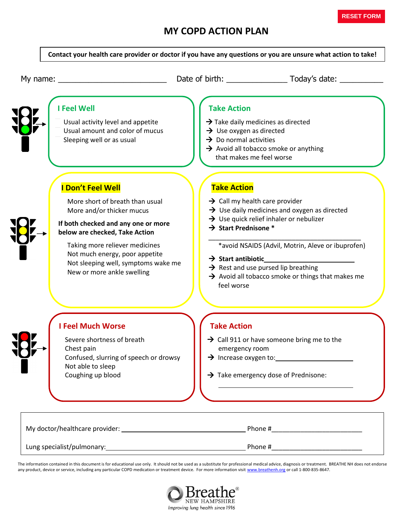## **MY COPD ACTION PLAN**



The information contained in this document is for educational use only. It should not be used as a substitute for professional medical advice, diagnosis or treatment. BREATHE NH does not endorse any product, device or service, including any particular COPD medication or treatment device. For more information visit [www.breathenh.org](http://www.breathenh.org/) or call 1-800-835-8647.